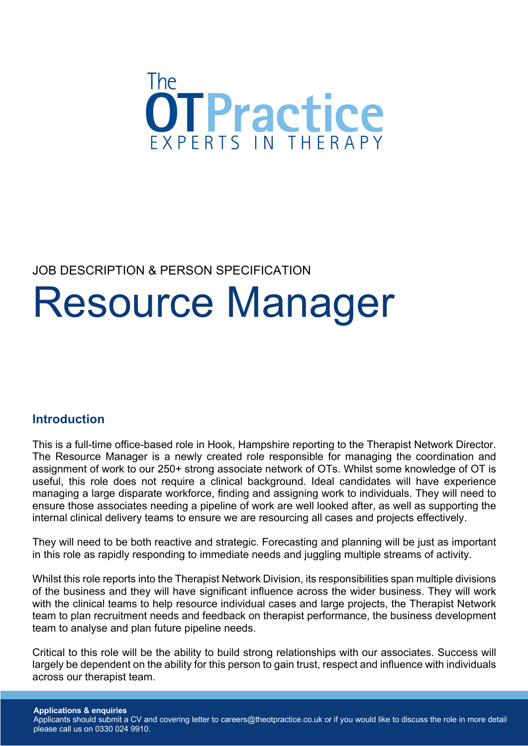

## JOB DESCRIPTION & PERSON SPECIFICATION

# Resource Manager

## **Introduction**

This is a full-time office-based role in Hook, Hampshire reporting to the Therapist Network Director. The Resource Manager is a newly created role responsible for managing the coordination and assignment of work to our 250+ strong associate network of OTs. Whilst some knowledge of OT is useful, this role does not require a clinical background. Ideal candidates will have experience managing a large disparate workforce, finding and assigning work to individuals. They will need to ensure those associates needing a pipeline of work are well looked after, as well as supporting the internal clinical delivery teams to ensure we are resourcing all cases and projects effectively.

They will need to be both reactive and strategic. Forecasting and planning will be just as important in this role as rapidly responding to immediate needs and juggling multiple streams of activity.

Whilst this role reports into the Therapist Network Division, its responsibilities span multiple divisions of the business and they will have significant influence across the wider business. They will work with the clinical teams to help resource individual cases and large projects, the Therapist Network team to plan recruitment needs and feedback on therapist performance, the business development team to analyse and plan future pipeline needs.

Critical to this role will be the ability to build strong relationships with our associates. Success will largely be dependent on the ability for this person to gain trust, respect and influence with individuals across our therapist team.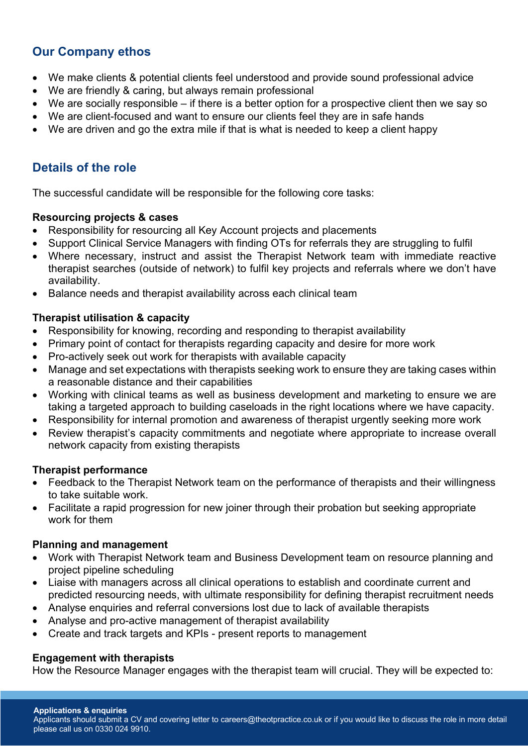## **Our Company ethos**

- We make clients & potential clients feel understood and provide sound professional advice
- We are friendly & caring, but always remain professional
- We are socially responsible if there is a better option for a prospective client then we say so
- We are client-focused and want to ensure our clients feel they are in safe hands
- We are driven and go the extra mile if that is what is needed to keep a client happy

## **Details of the role**

The successful candidate will be responsible for the following core tasks:

#### **Resourcing projects & cases**

- Responsibility for resourcing all Key Account projects and placements
- Support Clinical Service Managers with finding OTs for referrals they are struggling to fulfil
- Where necessary, instruct and assist the Therapist Network team with immediate reactive therapist searches (outside of network) to fulfil key projects and referrals where we don't have availability.
- Balance needs and therapist availability across each clinical team

#### **Therapist utilisation & capacity**

- Responsibility for knowing, recording and responding to therapist availability
- Primary point of contact for therapists regarding capacity and desire for more work
- Pro-actively seek out work for therapists with available capacity
- Manage and set expectations with therapists seeking work to ensure they are taking cases within a reasonable distance and their capabilities
- Working with clinical teams as well as business development and marketing to ensure we are taking a targeted approach to building caseloads in the right locations where we have capacity.
- Responsibility for internal promotion and awareness of therapist urgently seeking more work
- Review therapist's capacity commitments and negotiate where appropriate to increase overall network capacity from existing therapists

#### **Therapist performance**

- Feedback to the Therapist Network team on the performance of therapists and their willingness to take suitable work.
- Facilitate a rapid progression for new joiner through their probation but seeking appropriate work for them

#### **Planning and management**

- Work with Therapist Network team and Business Development team on resource planning and project pipeline scheduling
- Liaise with managers across all clinical operations to establish and coordinate current and predicted resourcing needs, with ultimate responsibility for defining therapist recruitment needs
- Analyse enquiries and referral conversions lost due to lack of available therapists
- Analyse and pro-active management of therapist availability
- Create and track targets and KPIs present reports to management

#### **Engagement with therapists**

How the Resource Manager engages with the therapist team will crucial. They will be expected to:

Applicants should submit a CV and covering letter to careers@theotpractice.co.uk or if you would like to discuss the role in more detail please call us on 0330 024 9910.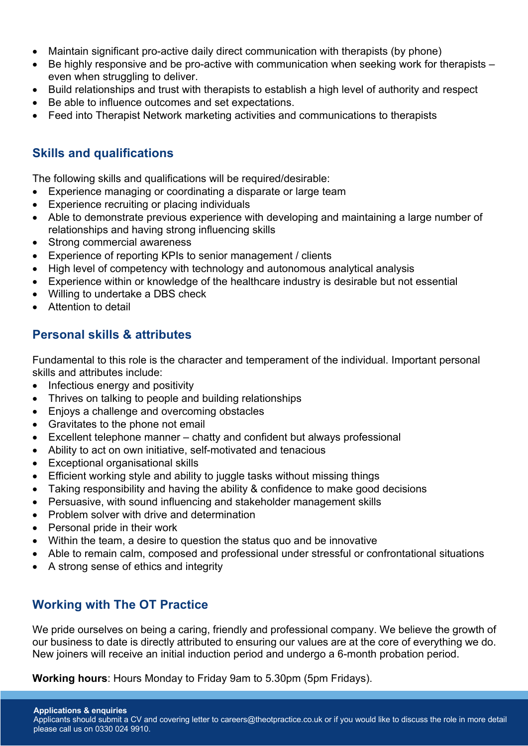- Maintain significant pro-active daily direct communication with therapists (by phone)
- Be highly responsive and be pro-active with communication when seeking work for therapists even when struggling to deliver.
- Build relationships and trust with therapists to establish a high level of authority and respect
- Be able to influence outcomes and set expectations.
- Feed into Therapist Network marketing activities and communications to therapists

### **Skills and qualifications**

The following skills and qualifications will be required/desirable:

- Experience managing or coordinating a disparate or large team
- Experience recruiting or placing individuals
- Able to demonstrate previous experience with developing and maintaining a large number of relationships and having strong influencing skills
- Strong commercial awareness
- Experience of reporting KPIs to senior management / clients
- High level of competency with technology and autonomous analytical analysis
- Experience within or knowledge of the healthcare industry is desirable but not essential
- Willing to undertake a DBS check
- Attention to detail

## **Personal skills & attributes**

Fundamental to this role is the character and temperament of the individual. Important personal skills and attributes include:

- Infectious energy and positivity
- Thrives on talking to people and building relationships
- Enjoys a challenge and overcoming obstacles
- Gravitates to the phone not email
- Excellent telephone manner chatty and confident but always professional
- Ability to act on own initiative, self-motivated and tenacious
- Exceptional organisational skills
- Efficient working style and ability to juggle tasks without missing things
- Taking responsibility and having the ability & confidence to make good decisions
- Persuasive, with sound influencing and stakeholder management skills
- Problem solver with drive and determination
- Personal pride in their work
- Within the team, a desire to question the status quo and be innovative
- Able to remain calm, composed and professional under stressful or confrontational situations
- A strong sense of ethics and integrity

## **Working with The OT Practice**

We pride ourselves on being a caring, friendly and professional company. We believe the growth of our business to date is directly attributed to ensuring our values are at the core of everything we do. New joiners will receive an initial induction period and undergo a 6-month probation period.

**Working hours**: Hours Monday to Friday 9am to 5.30pm (5pm Fridays).

**Applications & enquiries** Applicants should submit a CV and covering letter to careers@theotpractice.co.uk or if you would like to discuss the role in more detail please call us on 0330 024 9910.